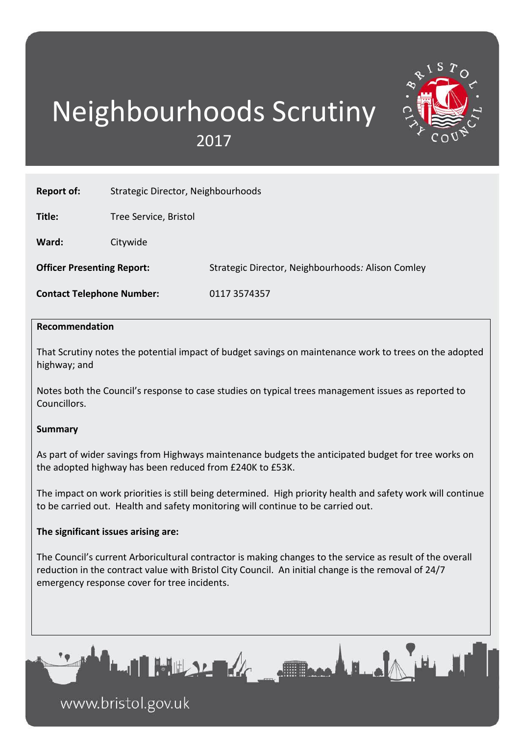# Neighbourhoods Scrutiny 2017



| <b>Recommendation</b>             |                                    |                                                   |
|-----------------------------------|------------------------------------|---------------------------------------------------|
| <b>Contact Telephone Number:</b>  |                                    | 0117 3574357                                      |
| <b>Officer Presenting Report:</b> |                                    | Strategic Director, Neighbourhoods: Alison Comley |
| Ward:                             | Citywide                           |                                                   |
| Title:                            | Tree Service, Bristol              |                                                   |
| <b>Report of:</b>                 | Strategic Director, Neighbourhoods |                                                   |

### **Recommendation**

That Scrutiny notes the potential impact of budget savings on maintenance work to trees on the adopted highway; and

Notes both the Council's response to case studies on typical trees management issues as reported to Councillors.

### **Summary**

As part of wider savings from Highways maintenance budgets the anticipated budget for tree works on the adopted highway has been reduced from £240K to £53K.

The impact on work priorities is still being determined. High priority health and safety work will continue to be carried out. Health and safety monitoring will continue to be carried out.

## **The significant issues arising are:**

The Council's current Arboricultural contractor is making changes to the service as result of the overall reduction in the contract value with Bristol City Council. An initial change is the removal of 24/7 emergency response cover for tree incidents.

ه ـ الله هم



www.bristol.gov.uk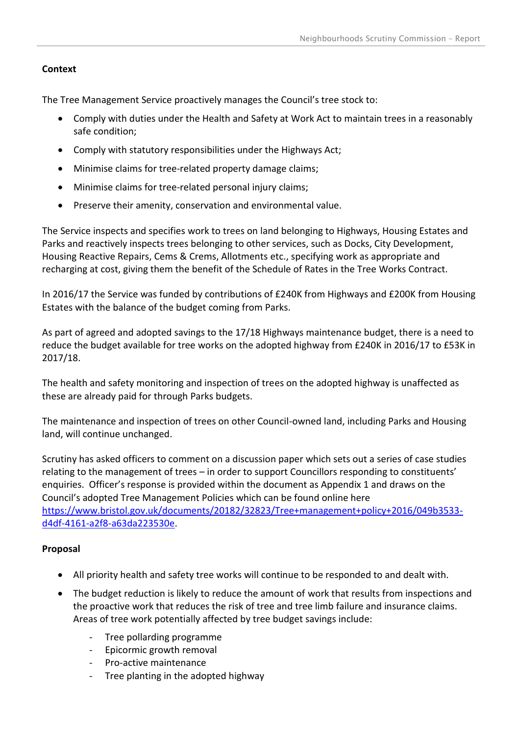# **Context**

The Tree Management Service proactively manages the Council's tree stock to:

- Comply with duties under the Health and Safety at Work Act to maintain trees in a reasonably safe condition;
- Comply with statutory responsibilities under the Highways Act;
- Minimise claims for tree-related property damage claims;
- Minimise claims for tree-related personal injury claims;
- Preserve their amenity, conservation and environmental value.

The Service inspects and specifies work to trees on land belonging to Highways, Housing Estates and Parks and reactively inspects trees belonging to other services, such as Docks, City Development, Housing Reactive Repairs, Cems & Crems, Allotments etc., specifying work as appropriate and recharging at cost, giving them the benefit of the Schedule of Rates in the Tree Works Contract.

In 2016/17 the Service was funded by contributions of £240K from Highways and £200K from Housing Estates with the balance of the budget coming from Parks.

As part of agreed and adopted savings to the 17/18 Highways maintenance budget, there is a need to reduce the budget available for tree works on the adopted highway from £240K in 2016/17 to £53K in 2017/18.

The health and safety monitoring and inspection of trees on the adopted highway is unaffected as these are already paid for through Parks budgets.

The maintenance and inspection of trees on other Council-owned land, including Parks and Housing land, will continue unchanged.

Scrutiny has asked officers to comment on a discussion paper which sets out a series of case studies relating to the management of trees – in order to support Councillors responding to constituents' enquiries. Officer's response is provided within the document as Appendix 1 and draws on the Council's adopted Tree Management Policies which can be found online here [https://www.bristol.gov.uk/documents/20182/32823/Tree+management+policy+2016/049b3533](https://www.bristol.gov.uk/documents/20182/32823/Tree+management+policy+2016/049b3533-d4df-4161-a2f8-a63da223530e) [d4df-4161-a2f8-a63da223530e.](https://www.bristol.gov.uk/documents/20182/32823/Tree+management+policy+2016/049b3533-d4df-4161-a2f8-a63da223530e)

# **Proposal**

- All priority health and safety tree works will continue to be responded to and dealt with.
- The budget reduction is likely to reduce the amount of work that results from inspections and the proactive work that reduces the risk of tree and tree limb failure and insurance claims. Areas of tree work potentially affected by tree budget savings include:
	- Tree pollarding programme
	- Epicormic growth removal
	- Pro-active maintenance
	- Tree planting in the adopted highway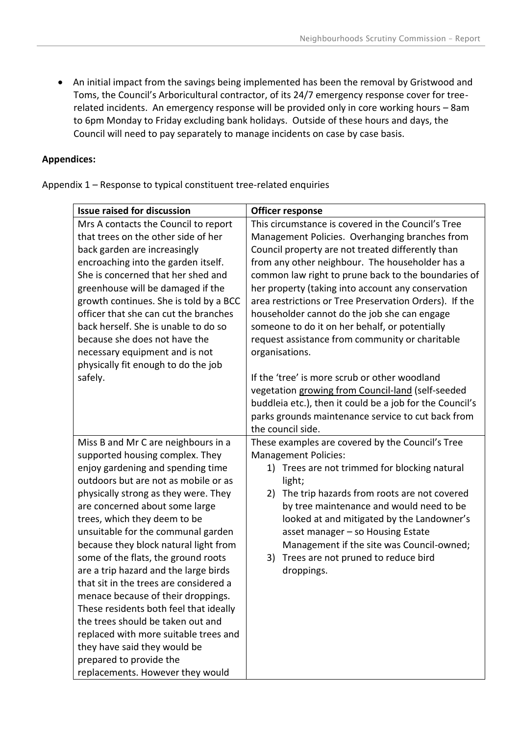An initial impact from the savings being implemented has been the removal by Gristwood and Toms, the Council's Arboricultural contractor, of its 24/7 emergency response cover for treerelated incidents. An emergency response will be provided only in core working hours – 8am to 6pm Monday to Friday excluding bank holidays. Outside of these hours and days, the Council will need to pay separately to manage incidents on case by case basis.

# **Appendices:**

Appendix 1 – Response to typical constituent tree-related enquiries

| <b>Issue raised for discussion</b>     | <b>Officer response</b>                                  |
|----------------------------------------|----------------------------------------------------------|
| Mrs A contacts the Council to report   | This circumstance is covered in the Council's Tree       |
| that trees on the other side of her    | Management Policies. Overhanging branches from           |
| back garden are increasingly           | Council property are not treated differently than        |
| encroaching into the garden itself.    | from any other neighbour. The householder has a          |
| She is concerned that her shed and     | common law right to prune back to the boundaries of      |
| greenhouse will be damaged if the      | her property (taking into account any conservation       |
| growth continues. She is told by a BCC | area restrictions or Tree Preservation Orders). If the   |
| officer that she can cut the branches  | householder cannot do the job she can engage             |
| back herself. She is unable to do so   | someone to do it on her behalf, or potentially           |
| because she does not have the          | request assistance from community or charitable          |
| necessary equipment and is not         | organisations.                                           |
| physically fit enough to do the job    |                                                          |
| safely.                                | If the 'tree' is more scrub or other woodland            |
|                                        | vegetation growing from Council-land (self-seeded        |
|                                        | buddleia etc.), then it could be a job for the Council's |
|                                        | parks grounds maintenance service to cut back from       |
|                                        | the council side.                                        |
| Miss B and Mr C are neighbours in a    | These examples are covered by the Council's Tree         |
| supported housing complex. They        | <b>Management Policies:</b>                              |
| enjoy gardening and spending time      | Trees are not trimmed for blocking natural<br>1)         |
| outdoors but are not as mobile or as   | light;                                                   |
| physically strong as they were. They   | The trip hazards from roots are not covered<br>2)        |
| are concerned about some large         | by tree maintenance and would need to be                 |
| trees, which they deem to be           | looked at and mitigated by the Landowner's               |
| unsuitable for the communal garden     | asset manager - so Housing Estate                        |
| because they block natural light from  | Management if the site was Council-owned;                |
| some of the flats, the ground roots    | Trees are not pruned to reduce bird<br>3)                |
| are a trip hazard and the large birds  | droppings.                                               |
| that sit in the trees are considered a |                                                          |
| menace because of their droppings.     |                                                          |
| These residents both feel that ideally |                                                          |
| the trees should be taken out and      |                                                          |
| replaced with more suitable trees and  |                                                          |
| they have said they would be           |                                                          |
| prepared to provide the                |                                                          |
| replacements. However they would       |                                                          |